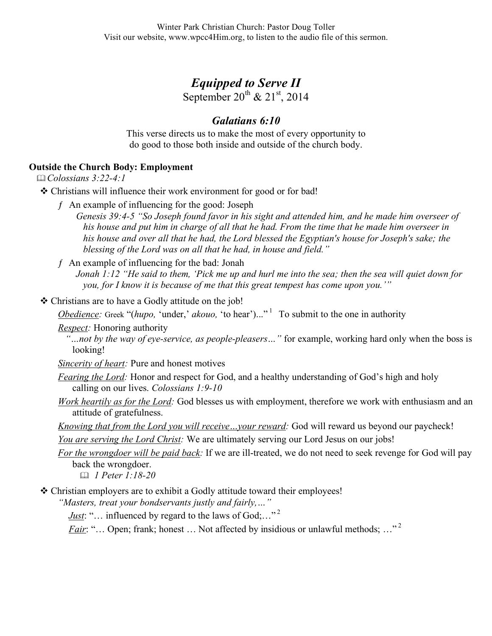## *Equipped to Serve II*

September  $20^{th}$  &  $21^{st}$ , 2014

## *Galatians 6:10*

This verse directs us to make the most of every opportunity to do good to those both inside and outside of the church body.

## **Outside the Church Body: Employment**

*Colossians 3:22-4:1*

Christians will influence their work environment for good or for bad!

- ƒ An example of influencing for the good: Joseph
	- *Genesis 39:4-5 "So Joseph found favor in his sight and attended him, and he made him overseer of his house and put him in charge of all that he had. From the time that he made him overseer in his house and over all that he had, the Lord blessed the Egyptian's house for Joseph's sake; the blessing of the Lord was on all that he had, in house and field."*
- $f$  An example of influencing for the bad: Jonah

*Jonah 1:12 "He said to them, 'Pick me up and hurl me into the sea; then the sea will quiet down for you, for I know it is because of me that this great tempest has come upon you.'"*

Christians are to have a Godly attitude on the job!

*Obedience:* Greek "(*hupo,* 'under,' *akouo,* 'to hear')..."<sup>1</sup> To submit to the one in authority

*Respect:* Honoring authority

*"…not by the way of eye-service, as people-pleasers…"* for example, working hard only when the boss is looking!

- *Sincerity of heart:* Pure and honest motives
- *Fearing the Lord:* Honor and respect for God, and a healthy understanding of God's high and holy calling on our lives. *Colossians 1:9-10*
- *Work heartily as for the Lord:* God blesses us with employment, therefore we work with enthusiasm and an attitude of gratefulness.
- *Knowing that from the Lord you will receive…your reward:* God will reward us beyond our paycheck!

*You are serving the Lord Christ:* We are ultimately serving our Lord Jesus on our jobs!

*For the wrongdoer will be paid back:* If we are ill-treated, we do not need to seek revenge for God will pay back the wrongdoer.

*1 Peter 1:18-20*

Christian employers are to exhibit a Godly attitude toward their employees!

*"Masters, treat your bondservants justly and fairly,…"*

*Just*: "... influenced by regard to the laws of  $God; \dots$ "<sup>2</sup>

*Fair*: "... Open; frank; honest ... Not affected by insidious or unlawful methods; ..."<sup>2</sup>